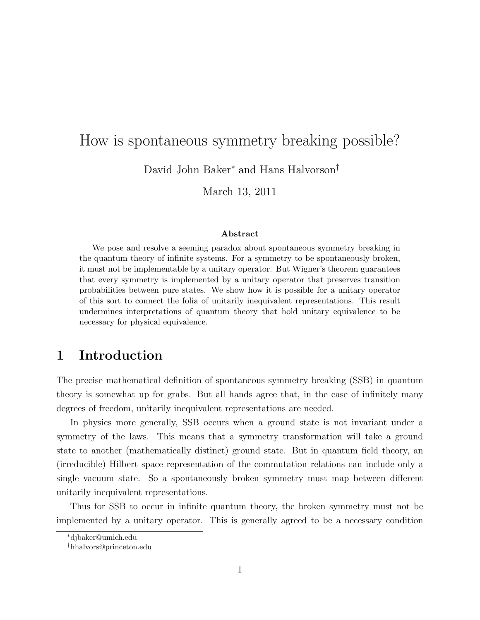# How is spontaneous symmetry breaking possible?

David John Baker<sup>∗</sup> and Hans Halvorson†

March 13, 2011

#### Abstract

We pose and resolve a seeming paradox about spontaneous symmetry breaking in the quantum theory of infinite systems. For a symmetry to be spontaneously broken, it must not be implementable by a unitary operator. But Wigner's theorem guarantees that every symmetry is implemented by a unitary operator that preserves transition probabilities between pure states. We show how it is possible for a unitary operator of this sort to connect the folia of unitarily inequivalent representations. This result undermines interpretations of quantum theory that hold unitary equivalence to be necessary for physical equivalence.

# 1 Introduction

The precise mathematical definition of spontaneous symmetry breaking (SSB) in quantum theory is somewhat up for grabs. But all hands agree that, in the case of infinitely many degrees of freedom, unitarily inequivalent representations are needed.

In physics more generally, SSB occurs when a ground state is not invariant under a symmetry of the laws. This means that a symmetry transformation will take a ground state to another (mathematically distinct) ground state. But in quantum field theory, an (irreducible) Hilbert space representation of the commutation relations can include only a single vacuum state. So a spontaneously broken symmetry must map between different unitarily inequivalent representations.

Thus for SSB to occur in infinite quantum theory, the broken symmetry must not be implemented by a unitary operator. This is generally agreed to be a necessary condition

<sup>∗</sup>djbaker@umich.edu

<sup>†</sup>hhalvors@princeton.edu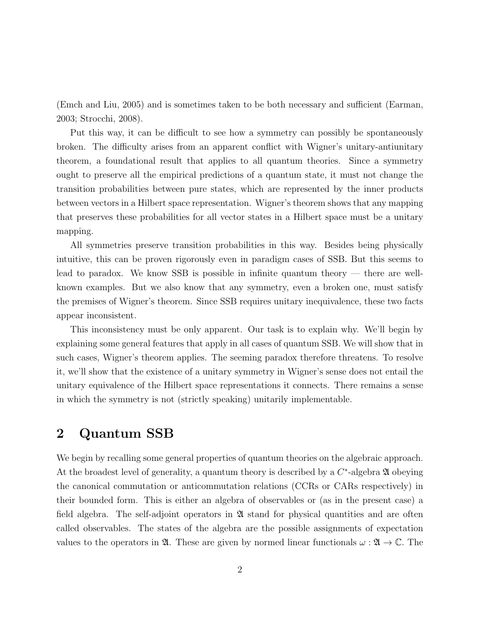(Emch and Liu, 2005) and is sometimes taken to be both necessary and sufficient (Earman, 2003; Strocchi, 2008).

Put this way, it can be difficult to see how a symmetry can possibly be spontaneously broken. The difficulty arises from an apparent conflict with Wigner's unitary-antiunitary theorem, a foundational result that applies to all quantum theories. Since a symmetry ought to preserve all the empirical predictions of a quantum state, it must not change the transition probabilities between pure states, which are represented by the inner products between vectors in a Hilbert space representation. Wigner's theorem shows that any mapping that preserves these probabilities for all vector states in a Hilbert space must be a unitary mapping.

All symmetries preserve transition probabilities in this way. Besides being physically intuitive, this can be proven rigorously even in paradigm cases of SSB. But this seems to lead to paradox. We know SSB is possible in infinite quantum theory — there are wellknown examples. But we also know that any symmetry, even a broken one, must satisfy the premises of Wigner's theorem. Since SSB requires unitary inequivalence, these two facts appear inconsistent.

This inconsistency must be only apparent. Our task is to explain why. We'll begin by explaining some general features that apply in all cases of quantum SSB. We will show that in such cases, Wigner's theorem applies. The seeming paradox therefore threatens. To resolve it, we'll show that the existence of a unitary symmetry in Wigner's sense does not entail the unitary equivalence of the Hilbert space representations it connects. There remains a sense in which the symmetry is not (strictly speaking) unitarily implementable.

# 2 Quantum SSB

We begin by recalling some general properties of quantum theories on the algebraic approach. At the broadest level of generality, a quantum theory is described by a  $C^*$ -algebra  $\mathfrak A$  obeying the canonical commutation or anticommutation relations (CCRs or CARs respectively) in their bounded form. This is either an algebra of observables or (as in the present case) a field algebra. The self-adjoint operators in  $\mathfrak A$  stand for physical quantities and are often called observables. The states of the algebra are the possible assignments of expectation values to the operators in  $\mathfrak{A}$ . These are given by normed linear functionals  $\omega : \mathfrak{A} \to \mathbb{C}$ . The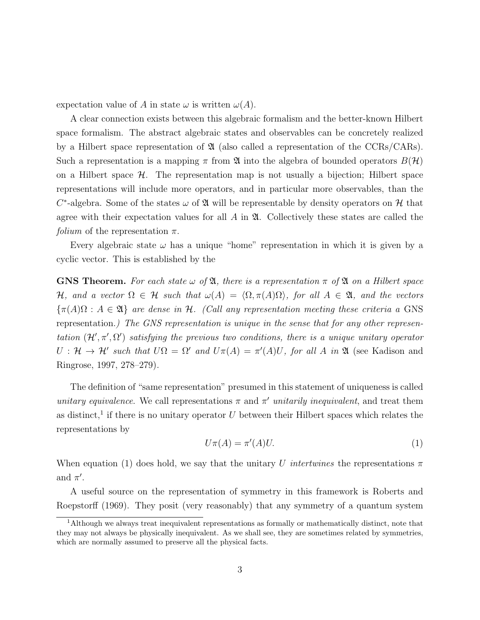expectation value of A in state  $\omega$  is written  $\omega(A)$ .

A clear connection exists between this algebraic formalism and the better-known Hilbert space formalism. The abstract algebraic states and observables can be concretely realized by a Hilbert space representation of  $\mathfrak A$  (also called a representation of the CCRs/CARs). Such a representation is a mapping  $\pi$  from  $\mathfrak A$  into the algebra of bounded operators  $B(\mathcal H)$ on a Hilbert space  $\mathcal{H}$ . The representation map is not usually a bijection; Hilbert space representations will include more operators, and in particular more observables, than the  $C^*$ -algebra. Some of the states  $\omega$  of  $\mathfrak A$  will be representable by density operators on  $\mathcal H$  that agree with their expectation values for all  $\tilde{A}$  in  $\mathfrak{A}$ . Collectively these states are called the *folium* of the representation  $\pi$ .

Every algebraic state  $\omega$  has a unique "home" representation in which it is given by a cyclic vector. This is established by the

**GNS Theorem.** For each state  $\omega$  of  $\mathfrak{A}$ , there is a representation  $\pi$  of  $\mathfrak{A}$  on a Hilbert space H, and a vector  $\Omega \in \mathcal{H}$  such that  $\omega(A) = \langle \Omega, \pi(A)\Omega \rangle$ , for all  $A \in \mathfrak{A}$ , and the vectors  ${\pi(A)\Omega : A \in \mathfrak{A}}$  are dense in H. (Call any representation meeting these criteria a GNS representation.) The GNS representation is unique in the sense that for any other representation  $(\mathcal{H}', \pi', \Omega')$  satisfying the previous two conditions, there is a unique unitary operator  $U: \mathcal{H} \to \mathcal{H}'$  such that  $U\Omega = \Omega'$  and  $U\pi(A) = \pi'(A)U$ , for all A in  $\mathfrak{A}$  (see Kadison and Ringrose, 1997, 278–279).

The definition of "same representation" presumed in this statement of uniqueness is called unitary equivalence. We call representations  $\pi$  and  $\pi'$  unitarily inequivalent, and treat them as distinct,<sup>1</sup> if there is no unitary operator  $U$  between their Hilbert spaces which relates the representations by

$$
U\pi(A) = \pi'(A)U.
$$
\n<sup>(1)</sup>

When equation (1) does hold, we say that the unitary U intertwines the representations  $\pi$ and  $\pi'$ .

A useful source on the representation of symmetry in this framework is Roberts and Roepstorff (1969). They posit (very reasonably) that any symmetry of a quantum system

<sup>1</sup>Although we always treat inequivalent representations as formally or mathematically distinct, note that they may not always be physically inequivalent. As we shall see, they are sometimes related by symmetries, which are normally assumed to preserve all the physical facts.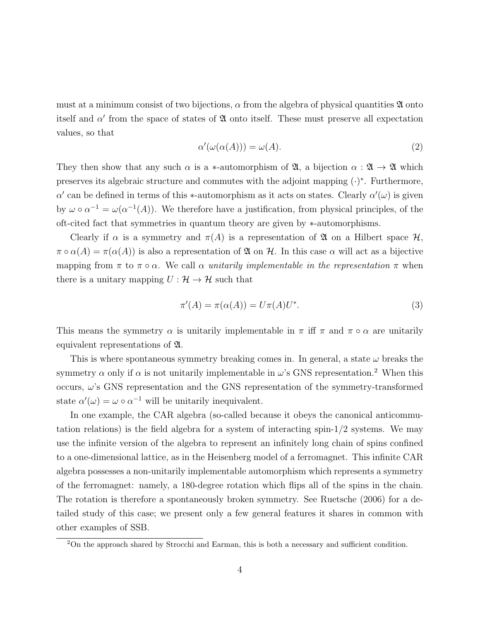must at a minimum consist of two bijections,  $\alpha$  from the algebra of physical quantities  $\mathfrak A$  onto itself and  $\alpha'$  from the space of states of  $\mathfrak A$  onto itself. These must preserve all expectation values, so that

$$
\alpha'(\omega(\alpha(A))) = \omega(A). \tag{2}
$$

They then show that any such  $\alpha$  is a \*-automorphism of  $\mathfrak{A}$ , a bijection  $\alpha : \mathfrak{A} \to \mathfrak{A}$  which preserves its algebraic structure and commutes with the adjoint mapping  $(\cdot)^*$ . Furthermore, α' can be defined in terms of this \*-automorphism as it acts on states. Clearly  $\alpha'(\omega)$  is given by  $\omega \circ \alpha^{-1} = \omega(\alpha^{-1}(A))$ . We therefore have a justification, from physical principles, of the oft-cited fact that symmetries in quantum theory are given by ∗-automorphisms.

Clearly if  $\alpha$  is a symmetry and  $\pi(A)$  is a representation of  $\mathfrak A$  on a Hilbert space  $\mathcal H$ ,  $\pi \circ \alpha(A) = \pi(\alpha(A))$  is also a representation of  $\mathfrak A$  on  $\mathcal H$ . In this case  $\alpha$  will act as a bijective mapping from  $\pi$  to  $\pi \circ \alpha$ . We call  $\alpha$  unitarily implementable in the representation  $\pi$  when there is a unitary mapping  $U : \mathcal{H} \to \mathcal{H}$  such that

$$
\pi'(A) = \pi(\alpha(A)) = U\pi(A)U^*.
$$
\n(3)

This means the symmetry  $\alpha$  is unitarily implementable in  $\pi$  iff  $\pi$  and  $\pi \circ \alpha$  are unitarily equivalent representations of A.

This is where spontaneous symmetry breaking comes in. In general, a state  $\omega$  breaks the symmetry  $\alpha$  only if  $\alpha$  is not unitarily implementable in  $\omega$ 's GNS representation.<sup>2</sup> When this occurs,  $\omega$ 's GNS representation and the GNS representation of the symmetry-transformed state  $\alpha'(\omega) = \omega \circ \alpha^{-1}$  will be unitarily inequivalent.

In one example, the CAR algebra (so-called because it obeys the canonical anticommutation relations) is the field algebra for a system of interacting spin-1/2 systems. We may use the infinite version of the algebra to represent an infinitely long chain of spins confined to a one-dimensional lattice, as in the Heisenberg model of a ferromagnet. This infinite CAR algebra possesses a non-unitarily implementable automorphism which represents a symmetry of the ferromagnet: namely, a 180-degree rotation which flips all of the spins in the chain. The rotation is therefore a spontaneously broken symmetry. See Ruetsche (2006) for a detailed study of this case; we present only a few general features it shares in common with other examples of SSB.

<sup>&</sup>lt;sup>2</sup>On the approach shared by Strocchi and Earman, this is both a necessary and sufficient condition.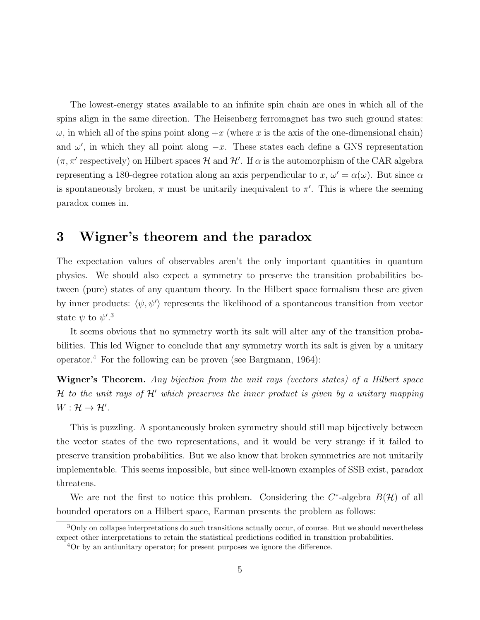The lowest-energy states available to an infinite spin chain are ones in which all of the spins align in the same direction. The Heisenberg ferromagnet has two such ground states:  $\omega$ , in which all of the spins point along  $+x$  (where x is the axis of the one-dimensional chain) and  $\omega'$ , in which they all point along  $-x$ . These states each define a GNS representation  $(\pi, \pi'$  respectively) on Hilbert spaces H and H'. If  $\alpha$  is the automorphism of the CAR algebra representing a 180-degree rotation along an axis perpendicular to  $x, \omega' = \alpha(\omega)$ . But since  $\alpha$ is spontaneously broken,  $\pi$  must be unitarily inequivalent to  $\pi'$ . This is where the seeming paradox comes in.

# 3 Wigner's theorem and the paradox

The expectation values of observables aren't the only important quantities in quantum physics. We should also expect a symmetry to preserve the transition probabilities between (pure) states of any quantum theory. In the Hilbert space formalism these are given by inner products:  $\langle \psi, \psi' \rangle$  represents the likelihood of a spontaneous transition from vector state  $\psi$  to  $\psi'.^3$ 

It seems obvious that no symmetry worth its salt will alter any of the transition probabilities. This led Wigner to conclude that any symmetry worth its salt is given by a unitary operator.<sup>4</sup> For the following can be proven (see Bargmann, 1964):

Wigner's Theorem. Any bijection from the unit rays (vectors states) of a Hilbert space H to the unit rays of  $\mathcal{H}'$  which preserves the inner product is given by a unitary mapping  $W: \mathcal{H} \to \mathcal{H}'.$ 

This is puzzling. A spontaneously broken symmetry should still map bijectively between the vector states of the two representations, and it would be very strange if it failed to preserve transition probabilities. But we also know that broken symmetries are not unitarily implementable. This seems impossible, but since well-known examples of SSB exist, paradox threatens.

We are not the first to notice this problem. Considering the  $C^*$ -algebra  $B(\mathcal{H})$  of all bounded operators on a Hilbert space, Earman presents the problem as follows:

<sup>&</sup>lt;sup>3</sup>Only on collapse interpretations do such transitions actually occur, of course. But we should nevertheless expect other interpretations to retain the statistical predictions codified in transition probabilities.

<sup>4</sup>Or by an antiunitary operator; for present purposes we ignore the difference.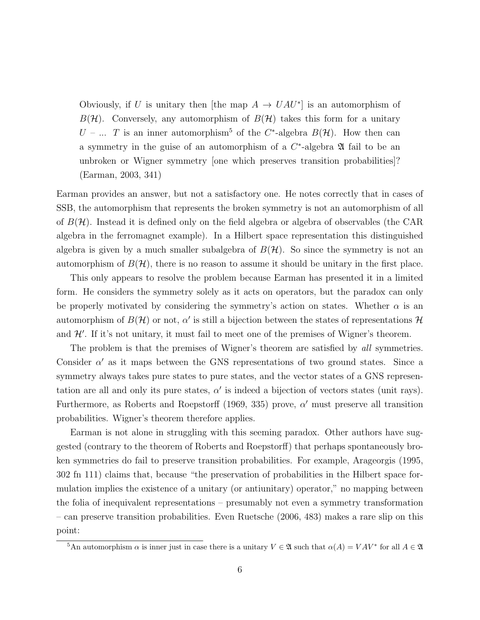Obviously, if U is unitary then [the map  $A \to UAU^*$ ] is an automorphism of  $B(H)$ . Conversely, any automorphism of  $B(H)$  takes this form for a unitary U – ... T is an inner automorphism<sup>5</sup> of the C<sup>\*</sup>-algebra  $B(\mathcal{H})$ . How then can a symmetry in the guise of an automorphism of a  $C^*$ -algebra  $\mathfrak A$  fail to be an unbroken or Wigner symmetry [one which preserves transition probabilities]? (Earman, 2003, 341)

Earman provides an answer, but not a satisfactory one. He notes correctly that in cases of SSB, the automorphism that represents the broken symmetry is not an automorphism of all of  $B(\mathcal{H})$ . Instead it is defined only on the field algebra or algebra of observables (the CAR algebra in the ferromagnet example). In a Hilbert space representation this distinguished algebra is given by a much smaller subalgebra of  $B(H)$ . So since the symmetry is not an automorphism of  $B(\mathcal{H})$ , there is no reason to assume it should be unitary in the first place.

This only appears to resolve the problem because Earman has presented it in a limited form. He considers the symmetry solely as it acts on operators, but the paradox can only be properly motivated by considering the symmetry's action on states. Whether  $\alpha$  is an automorphism of  $B(\mathcal{H})$  or not,  $\alpha'$  is still a bijection between the states of representations  $\mathcal{H}$ and  $\mathcal{H}'$ . If it's not unitary, it must fail to meet one of the premises of Wigner's theorem.

The problem is that the premises of Wigner's theorem are satisfied by all symmetries. Consider  $\alpha'$  as it maps between the GNS representations of two ground states. Since a symmetry always takes pure states to pure states, and the vector states of a GNS representation are all and only its pure states,  $\alpha'$  is indeed a bijection of vectors states (unit rays). Furthermore, as Roberts and Roepstorff (1969, 335) prove,  $\alpha'$  must preserve all transition probabilities. Wigner's theorem therefore applies.

Earman is not alone in struggling with this seeming paradox. Other authors have suggested (contrary to the theorem of Roberts and Roepstorff) that perhaps spontaneously broken symmetries do fail to preserve transition probabilities. For example, Arageorgis (1995, 302 fn 111) claims that, because "the preservation of probabilities in the Hilbert space formulation implies the existence of a unitary (or antiunitary) operator," no mapping between the folia of inequivalent representations – presumably not even a symmetry transformation – can preserve transition probabilities. Even Ruetsche (2006, 483) makes a rare slip on this point:

<sup>&</sup>lt;sup>5</sup>An automorphism  $\alpha$  is inner just in case there is a unitary  $V \in \mathfrak{A}$  such that  $\alpha(A) = VAV^*$  for all  $A \in \mathfrak{A}$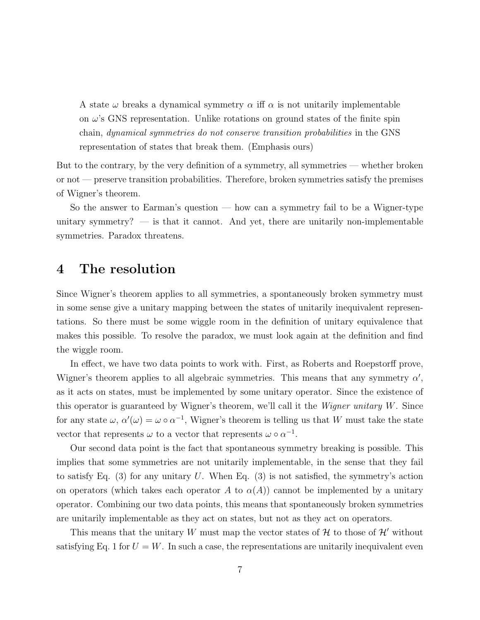A state  $\omega$  breaks a dynamical symmetry  $\alpha$  iff  $\alpha$  is not unitarily implementable on  $\omega$ 's GNS representation. Unlike rotations on ground states of the finite spin chain, dynamical symmetries do not conserve transition probabilities in the GNS representation of states that break them. (Emphasis ours)

But to the contrary, by the very definition of a symmetry, all symmetries — whether broken or not — preserve transition probabilities. Therefore, broken symmetries satisfy the premises of Wigner's theorem.

So the answer to Earman's question — how can a symmetry fail to be a Wigner-type unitary symmetry?  $\overline{\phantom{a}}$  is that it cannot. And yet, there are unitarily non-implementable symmetries. Paradox threatens.

# 4 The resolution

Since Wigner's theorem applies to all symmetries, a spontaneously broken symmetry must in some sense give a unitary mapping between the states of unitarily inequivalent representations. So there must be some wiggle room in the definition of unitary equivalence that makes this possible. To resolve the paradox, we must look again at the definition and find the wiggle room.

In effect, we have two data points to work with. First, as Roberts and Roepstorff prove, Wigner's theorem applies to all algebraic symmetries. This means that any symmetry  $\alpha'$ , as it acts on states, must be implemented by some unitary operator. Since the existence of this operator is guaranteed by Wigner's theorem, we'll call it the Wigner unitary W. Since for any state  $\omega$ ,  $\alpha'(\omega) = \omega \circ \alpha^{-1}$ , Wigner's theorem is telling us that W must take the state vector that represents  $\omega$  to a vector that represents  $\omega \circ \alpha^{-1}$ .

Our second data point is the fact that spontaneous symmetry breaking is possible. This implies that some symmetries are not unitarily implementable, in the sense that they fail to satisfy Eq. (3) for any unitary U. When Eq. (3) is not satisfied, the symmetry's action on operators (which takes each operator A to  $\alpha(A)$ ) cannot be implemented by a unitary operator. Combining our two data points, this means that spontaneously broken symmetries are unitarily implementable as they act on states, but not as they act on operators.

This means that the unitary W must map the vector states of  $\mathcal{H}$  to those of  $\mathcal{H}'$  without satisfying Eq. 1 for  $U = W$ . In such a case, the representations are unitarily inequivalent even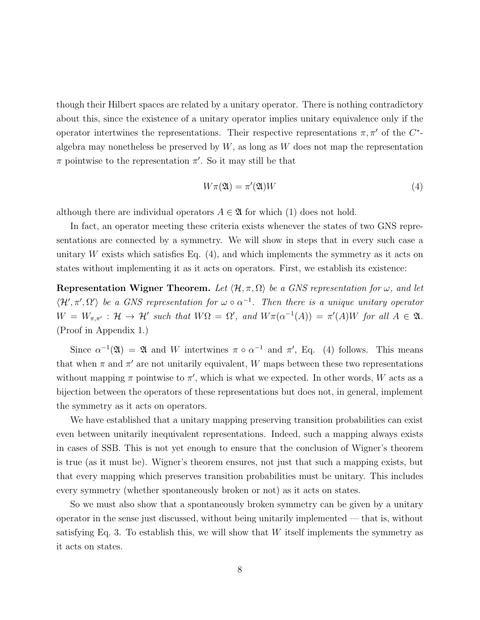though their Hilbert spaces are related by a unitary operator. There is nothing contradictory about this, since the existence of a unitary operator implies unitary equivalence only if the operator intertwines the representations. Their respective representations  $\pi, \pi'$  of the C<sup>\*</sup>algebra may nonetheless be preserved by  $W$ , as long as  $W$  does not map the representation  $\pi$  pointwise to the representation  $\pi'$ . So it may still be that

$$
W\pi(\mathfrak{A}) = \pi'(\mathfrak{A})W\tag{4}
$$

although there are individual operators  $A \in \mathfrak{A}$  for which (1) does not hold.

In fact, an operator meeting these criteria exists whenever the states of two GNS representations are connected by a symmetry. We will show in steps that in every such case a unitary W exists which satisfies Eq.  $(4)$ , and which implements the symmetry as it acts on states without implementing it as it acts on operators. First, we establish its existence:

Representation Wigner Theorem. Let  $\langle \mathcal{H}, \pi, \Omega \rangle$  be a GNS representation for  $\omega$ , and let  $\langle \mathcal{H}', \pi', \Omega' \rangle$  be a GNS representation for  $\omega \circ \alpha^{-1}$ . Then there is a unique unitary operator  $W = W_{\pi,\pi'} : \mathcal{H} \to \mathcal{H}'$  such that  $W\Omega = \Omega'$ , and  $W\pi(\alpha^{-1}(A)) = \pi'(A)W$  for all  $A \in \mathfrak{A}$ . (Proof in Appendix 1.)

Since  $\alpha^{-1}(\mathfrak{A}) = \mathfrak{A}$  and W intertwines  $\pi \circ \alpha^{-1}$  and  $\pi'$ , Eq. (4) follows. This means that when  $\pi$  and  $\pi'$  are not unitarily equivalent, W maps between these two representations without mapping  $\pi$  pointwise to  $\pi'$ , which is what we expected. In other words, W acts as a bijection between the operators of these representations but does not, in general, implement the symmetry as it acts on operators.

We have established that a unitary mapping preserving transition probabilities can exist even between unitarily inequivalent representations. Indeed, such a mapping always exists in cases of SSB. This is not yet enough to ensure that the conclusion of Wigner's theorem is true (as it must be). Wigner's theorem ensures, not just that such a mapping exists, but that every mapping which preserves transition probabilities must be unitary. This includes every symmetry (whether spontaneously broken or not) as it acts on states.

So we must also show that a spontaneously broken symmetry can be given by a unitary operator in the sense just discussed, without being unitarily implemented — that is, without satisfying Eq. 3. To establish this, we will show that  $W$  itself implements the symmetry as it acts on states.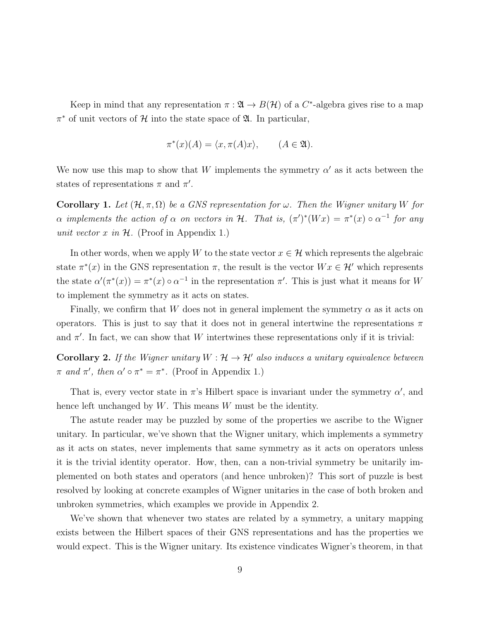Keep in mind that any representation  $\pi : \mathfrak{A} \to B(\mathcal{H})$  of a  $C^*$ -algebra gives rise to a map  $\pi^*$  of unit vectors of  $\mathcal H$  into the state space of  $\mathfrak A$ . In particular,

$$
\pi^*(x)(A) = \langle x, \pi(A)x \rangle, \qquad (A \in \mathfrak{A}).
$$

We now use this map to show that W implements the symmetry  $\alpha'$  as it acts between the states of representations  $\pi$  and  $\pi'$ .

**Corollary 1.** Let  $(\mathcal{H}, \pi, \Omega)$  be a GNS representation for  $\omega$ . Then the Wigner unitary W for  $\alpha$  implements the action of  $\alpha$  on vectors in H. That is,  $(\pi')^*(Wx) = \pi^*(x) \circ \alpha^{-1}$  for any unit vector x in  $H$ . (Proof in Appendix 1.)

In other words, when we apply W to the state vector  $x \in \mathcal{H}$  which represents the algebraic state  $\pi^*(x)$  in the GNS representation  $\pi$ , the result is the vector  $Wx \in \mathcal{H}'$  which represents the state  $\alpha'(\pi^*(x)) = \pi^*(x) \circ \alpha^{-1}$  in the representation  $\pi'$ . This is just what it means for W to implement the symmetry as it acts on states.

Finally, we confirm that W does not in general implement the symmetry  $\alpha$  as it acts on operators. This is just to say that it does not in general intertwine the representations  $\pi$ and  $\pi'$ . In fact, we can show that W intertwines these representations only if it is trivial:

**Corollary 2.** If the Wigner unitary  $W : \mathcal{H} \to \mathcal{H}'$  also induces a unitary equivalence between  $\pi$  and  $\pi'$ , then  $\alpha' \circ \pi^* = \pi^*$ . (Proof in Appendix 1.)

That is, every vector state in  $\pi$ 's Hilbert space is invariant under the symmetry  $\alpha'$ , and hence left unchanged by W. This means W must be the identity.

The astute reader may be puzzled by some of the properties we ascribe to the Wigner unitary. In particular, we've shown that the Wigner unitary, which implements a symmetry as it acts on states, never implements that same symmetry as it acts on operators unless it is the trivial identity operator. How, then, can a non-trivial symmetry be unitarily implemented on both states and operators (and hence unbroken)? This sort of puzzle is best resolved by looking at concrete examples of Wigner unitaries in the case of both broken and unbroken symmetries, which examples we provide in Appendix 2.

We've shown that whenever two states are related by a symmetry, a unitary mapping exists between the Hilbert spaces of their GNS representations and has the properties we would expect. This is the Wigner unitary. Its existence vindicates Wigner's theorem, in that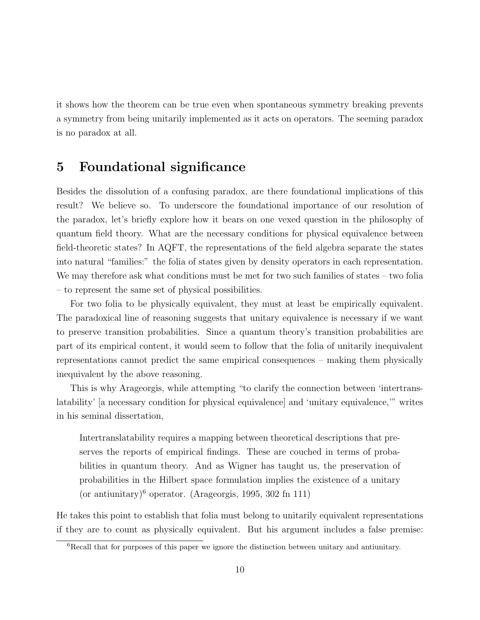it shows how the theorem can be true even when spontaneous symmetry breaking prevents a symmetry from being unitarily implemented as it acts on operators. The seeming paradox is no paradox at all.

## 5 Foundational significance

Besides the dissolution of a confusing paradox, are there foundational implications of this result? We believe so. To underscore the foundational importance of our resolution of the paradox, let's briefly explore how it bears on one vexed question in the philosophy of quantum field theory. What are the necessary conditions for physical equivalence between field-theoretic states? In AQFT, the representations of the field algebra separate the states into natural "families:" the folia of states given by density operators in each representation. We may therefore ask what conditions must be met for two such families of states – two folia – to represent the same set of physical possibilities.

For two folia to be physically equivalent, they must at least be empirically equivalent. The paradoxical line of reasoning suggests that unitary equivalence is necessary if we want to preserve transition probabilities. Since a quantum theory's transition probabilities are part of its empirical content, it would seem to follow that the folia of unitarily inequivalent representations cannot predict the same empirical consequences – making them physically inequivalent by the above reasoning.

This is why Arageorgis, while attempting "to clarify the connection between 'intertranslatability' [a necessary condition for physical equivalence] and 'unitary equivalence,'" writes in his seminal dissertation,

Intertranslatability requires a mapping between theoretical descriptions that preserves the reports of empirical findings. These are couched in terms of probabilities in quantum theory. And as Wigner has taught us, the preservation of probabilities in the Hilbert space formulation implies the existence of a unitary (or antiunitary)<sup>6</sup> operator. (Arageorgis, 1995, 302 fn 111)

He takes this point to establish that folia must belong to unitarily equivalent representations if they are to count as physically equivalent. But his argument includes a false premise:

<sup>&</sup>lt;sup>6</sup>Recall that for purposes of this paper we ignore the distinction between unitary and antiunitary.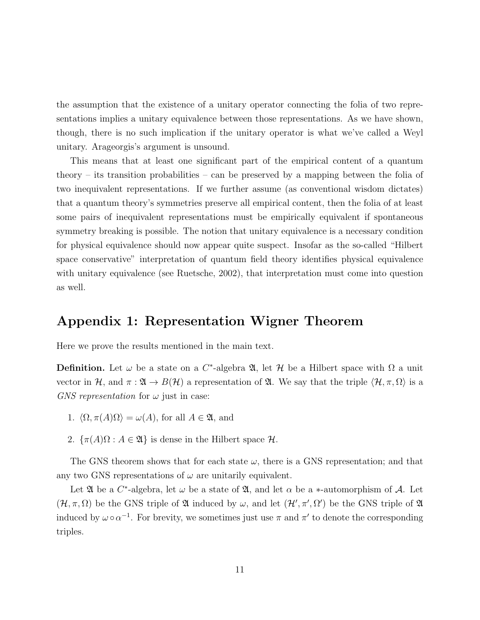the assumption that the existence of a unitary operator connecting the folia of two representations implies a unitary equivalence between those representations. As we have shown, though, there is no such implication if the unitary operator is what we've called a Weyl unitary. Arageorgis's argument is unsound.

This means that at least one significant part of the empirical content of a quantum theory – its transition probabilities – can be preserved by a mapping between the folia of two inequivalent representations. If we further assume (as conventional wisdom dictates) that a quantum theory's symmetries preserve all empirical content, then the folia of at least some pairs of inequivalent representations must be empirically equivalent if spontaneous symmetry breaking is possible. The notion that unitary equivalence is a necessary condition for physical equivalence should now appear quite suspect. Insofar as the so-called "Hilbert space conservative" interpretation of quantum field theory identifies physical equivalence with unitary equivalence (see Ruetsche, 2002), that interpretation must come into question as well.

# Appendix 1: Representation Wigner Theorem

Here we prove the results mentioned in the main text.

**Definition.** Let  $\omega$  be a state on a C<sup>\*</sup>-algebra  $\mathfrak{A}$ , let  $\mathcal{H}$  be a Hilbert space with  $\Omega$  a unit vector in H, and  $\pi : \mathfrak{A} \to B(\mathcal{H})$  a representation of  $\mathfrak{A}$ . We say that the triple  $\langle \mathcal{H}, \pi, \Omega \rangle$  is a GNS representation for  $\omega$  just in case:

- 1.  $\langle \Omega, \pi(A)\Omega \rangle = \omega(A)$ , for all  $A \in \mathfrak{A}$ , and
- 2.  $\{\pi(A)\Omega : A \in \mathfrak{A}\}\$ is dense in the Hilbert space  $\mathcal{H}$ .

The GNS theorem shows that for each state  $\omega$ , there is a GNS representation; and that any two GNS representations of  $\omega$  are unitarily equivalent.

Let  $\mathfrak A$  be a  $C^*$ -algebra, let  $\omega$  be a state of  $\mathfrak A$ , and let  $\alpha$  be a  $*$ -automorphism of  $\mathcal A$ . Let  $(\mathcal{H}, \pi, \Omega)$  be the GNS triple of  $\mathfrak A$  induced by  $\omega$ , and let  $(\mathcal{H}', \pi', \Omega')$  be the GNS triple of  $\mathfrak A$ induced by  $\omega \circ \alpha^{-1}$ . For brevity, we sometimes just use  $\pi$  and  $\pi'$  to denote the corresponding triples.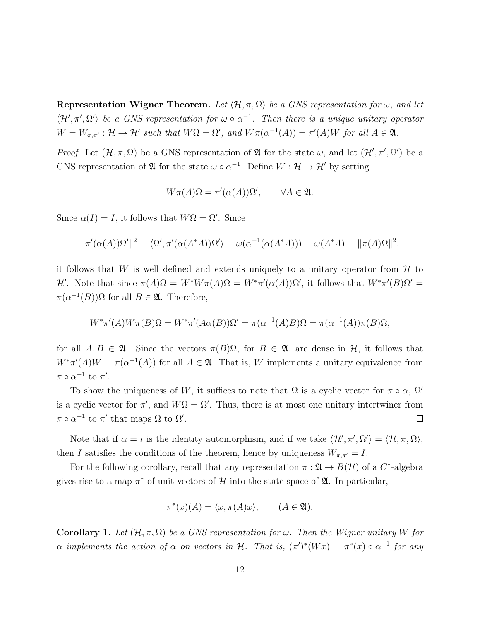**Representation Wigner Theorem.** Let  $\langle \mathcal{H}, \pi, \Omega \rangle$  be a GNS representation for  $\omega$ , and let  $\langle \mathcal{H}', \pi', \Omega' \rangle$  be a GNS representation for  $\omega \circ \alpha^{-1}$ . Then there is a unique unitary operator  $W = W_{\pi,\pi'} : \mathcal{H} \to \mathcal{H}'$  such that  $W\Omega = \Omega'$ , and  $W\pi(\alpha^{-1}(A)) = \pi'(A)W$  for all  $A \in \mathfrak{A}$ .

*Proof.* Let  $(\mathcal{H}, \pi, \Omega)$  be a GNS representation of  $\mathfrak A$  for the state  $\omega$ , and let  $(\mathcal{H}', \pi', \Omega')$  be a GNS representation of  $\mathfrak A$  for the state  $\omega \circ \alpha^{-1}$ . Define  $W : \mathcal H \to \mathcal H'$  by setting

$$
W\pi(A)\Omega = \pi'(\alpha(A))\Omega', \qquad \forall A \in \mathfrak{A}.
$$

Since  $\alpha(I) = I$ , it follows that  $W\Omega = \Omega'$ . Since

$$
\|\pi'(\alpha(A))\Omega'\|^2 = \langle \Omega', \pi'(\alpha(A^*A))\Omega' \rangle = \omega(\alpha^{-1}(\alpha(A^*A))) = \omega(A^*A) = \|\pi(A)\Omega\|^2,
$$

it follows that W is well defined and extends uniquely to a unitary operator from  $\mathcal H$  to H'. Note that since  $\pi(A)\Omega = W^*W\pi(A)\Omega = W^*\pi'(\alpha(A))\Omega'$ , it follows that  $W^*\pi'(B)\Omega' =$  $\pi(\alpha^{-1}(B))\Omega$  for all  $B \in \mathfrak{A}$ . Therefore,

$$
W^*\pi'(A)W\pi(B)\Omega = W^*\pi'(A\alpha(B))\Omega' = \pi(\alpha^{-1}(A)B)\Omega = \pi(\alpha^{-1}(A))\pi(B)\Omega,
$$

for all  $A, B \in \mathfrak{A}$ . Since the vectors  $\pi(B)\Omega$ , for  $B \in \mathfrak{A}$ , are dense in H, it follows that  $W^*\pi'(A)W = \pi(\alpha^{-1}(A))$  for all  $A \in \mathfrak{A}$ . That is, W implements a unitary equivalence from  $\pi \circ \alpha^{-1}$  to  $\pi'$ .

To show the uniqueness of W, it suffices to note that  $\Omega$  is a cyclic vector for  $\pi \circ \alpha$ ,  $\Omega'$ is a cyclic vector for  $\pi'$ , and  $W\Omega = \Omega'$ . Thus, there is at most one unitary intertwiner from  $\pi \circ \alpha^{-1}$  to  $\pi'$  that maps  $\Omega$  to  $\Omega'$ .  $\Box$ 

Note that if  $\alpha = \iota$  is the identity automorphism, and if we take  $\langle \mathcal{H}', \pi', \Omega' \rangle = \langle \mathcal{H}, \pi, \Omega \rangle$ , then I satisfies the conditions of the theorem, hence by uniqueness  $W_{\pi,\pi'} = I$ .

For the following corollary, recall that any representation  $\pi : \mathfrak{A} \to B(\mathcal{H})$  of a  $C^*$ -algebra gives rise to a map  $\pi^*$  of unit vectors of H into the state space of  $\mathfrak{A}$ . In particular,

$$
\pi^*(x)(A) = \langle x, \pi(A)x \rangle, \qquad (A \in \mathfrak{A}).
$$

**Corollary 1.** Let  $(\mathcal{H}, \pi, \Omega)$  be a GNS representation for  $\omega$ . Then the Wigner unitary W for  $\alpha$  implements the action of  $\alpha$  on vectors in H. That is,  $(\pi')^*(Wx) = \pi^*(x) \circ \alpha^{-1}$  for any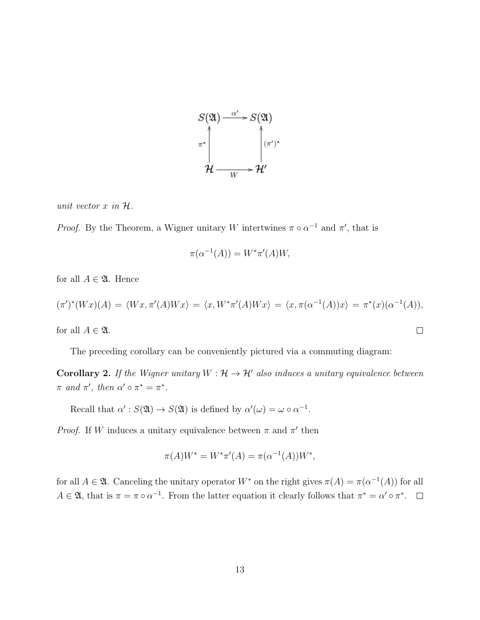

unit vector  $x$  in  $H$ .

*Proof.* By the Theorem, a Wigner unitary W intertwines  $\pi \circ \alpha^{-1}$  and  $\pi'$ , that is

$$
\pi(\alpha^{-1}(A)) = W^* \pi'(A)W,
$$

for all  $A \in \mathfrak{A}$ . Hence

$$
(\pi')^*(Wx)(A) = \langle Wx, \pi'(A)Wx \rangle = \langle x, W^*\pi'(A)Wx \rangle = \langle x, \pi(\alpha^{-1}(A))x \rangle = \pi^*(x)(\alpha^{-1}(A)),
$$

 $\Box$ 

for all  $A \in \mathfrak{A}$ .

The preceding corollary can be conveniently pictured via a commuting diagram:

**Corollary 2.** If the Wigner unitary  $W : \mathcal{H} \to \mathcal{H}'$  also induces a unitary equivalence between  $\pi$  and  $\pi'$ , then  $\alpha' \circ \pi^* = \pi^*$ .

Recall that  $\alpha' : S(\mathfrak{A}) \to S(\mathfrak{A})$  is defined by  $\alpha'(\omega) = \omega \circ \alpha^{-1}$ .

*Proof.* If W induces a unitary equivalence between  $\pi$  and  $\pi'$  then

$$
\pi(A)W^* = W^*\pi'(A) = \pi(\alpha^{-1}(A))W^*,
$$

for all  $A \in \mathfrak{A}$ . Canceling the unitary operator  $W^*$  on the right gives  $\pi(A) = \pi(\alpha^{-1}(A))$  for all  $A \in \mathfrak{A}$ , that is  $\pi = \pi \circ \alpha^{-1}$ . From the latter equation it clearly follows that  $\pi^* = \alpha' \circ \pi^*$ .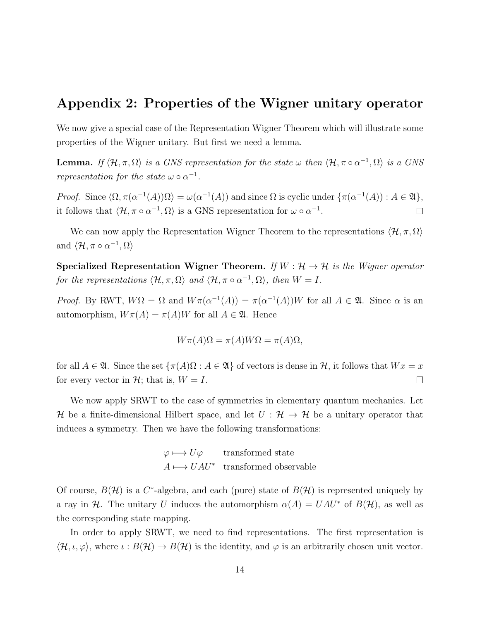## Appendix 2: Properties of the Wigner unitary operator

We now give a special case of the Representation Wigner Theorem which will illustrate some properties of the Wigner unitary. But first we need a lemma.

**Lemma.** If  $\langle \mathcal{H}, \pi, \Omega \rangle$  is a GNS representation for the state  $\omega$  then  $\langle \mathcal{H}, \pi \circ \alpha^{-1}, \Omega \rangle$  is a GNS representation for the state  $\omega \circ \alpha^{-1}$ .

Proof. Since  $\langle \Omega, \pi(\alpha^{-1}(A))\Omega \rangle = \omega(\alpha^{-1}(A))$  and since  $\Omega$  is cyclic under  $\{\pi(\alpha^{-1}(A)) : A \in \mathfrak{A}\}\,$ it follows that  $\langle \mathcal{H}, \pi \circ \alpha^{-1}, \Omega \rangle$  is a GNS representation for  $\omega \circ \alpha^{-1}$ .  $\Box$ 

We can now apply the Representation Wigner Theorem to the representations  $\langle \mathcal{H}, \pi, \Omega \rangle$ and  $\langle \mathcal{H}, \pi \circ \alpha^{-1}, \Omega \rangle$ 

Specialized Representation Wigner Theorem. If  $W : \mathcal{H} \to \mathcal{H}$  is the Wigner operator for the representations  $\langle \mathcal{H}, \pi, \Omega \rangle$  and  $\langle \mathcal{H}, \pi \circ \alpha^{-1}, \Omega \rangle$ , then  $W = I$ .

Proof. By RWT,  $W\Omega = \Omega$  and  $W\pi(\alpha^{-1}(A)) = \pi(\alpha^{-1}(A))W$  for all  $A \in \mathfrak{A}$ . Since  $\alpha$  is an automorphism,  $W\pi(A) = \pi(A)W$  for all  $A \in \mathfrak{A}$ . Hence

$$
W\pi(A)\Omega = \pi(A)W\Omega = \pi(A)\Omega,
$$

for all  $A \in \mathfrak{A}$ . Since the set  $\{\pi(A)\Omega : A \in \mathfrak{A}\}\)$  of vectors is dense in  $\mathcal{H}$ , it follows that  $Wx = x$ for every vector in  $\mathcal{H}$ ; that is,  $W = I$ .  $\Box$ 

We now apply SRWT to the case of symmetries in elementary quantum mechanics. Let H be a finite-dimensional Hilbert space, and let  $U : \mathcal{H} \to \mathcal{H}$  be a unitary operator that induces a symmetry. Then we have the following transformations:

$$
\varphi \longmapsto U\varphi \qquad \text{transformed state}
$$

$$
A \longmapsto UAU^* \quad \text{transformed observable}
$$

Of course,  $B(\mathcal{H})$  is a C<sup>\*</sup>-algebra, and each (pure) state of  $B(\mathcal{H})$  is represented uniquely by a ray in H. The unitary U induces the automorphism  $\alpha(A) = UAU^*$  of  $B(\mathcal{H})$ , as well as the corresponding state mapping.

In order to apply SRWT, we need to find representations. The first representation is  $\langle \mathcal{H}, \iota, \varphi \rangle$ , where  $\iota : B(\mathcal{H}) \to B(\mathcal{H})$  is the identity, and  $\varphi$  is an arbitrarily chosen unit vector.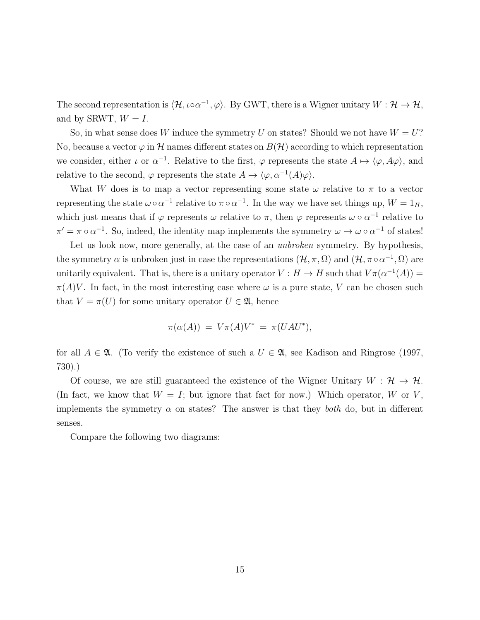The second representation is  $\langle \mathcal{H}, \iota \circ \alpha^{-1}, \varphi \rangle$ . By GWT, there is a Wigner unitary  $W : \mathcal{H} \to \mathcal{H}$ , and by SRWT,  $W = I$ .

So, in what sense does W induce the symmetry U on states? Should we not have  $W = U$ ? No, because a vector  $\varphi$  in H names different states on  $B(H)$  according to which representation we consider, either  $\iota$  or  $\alpha^{-1}$ . Relative to the first,  $\varphi$  represents the state  $A \mapsto \langle \varphi, A\varphi \rangle$ , and relative to the second,  $\varphi$  represents the state  $A \mapsto \langle \varphi, \alpha^{-1}(A)\varphi \rangle$ .

What W does is to map a vector representing some state  $\omega$  relative to  $\pi$  to a vector representing the state  $\omega \circ \alpha^{-1}$  relative to  $\pi \circ \alpha^{-1}$ . In the way we have set things up,  $W = 1_H$ , which just means that if  $\varphi$  represents  $\omega$  relative to  $\pi$ , then  $\varphi$  represents  $\omega \circ \alpha^{-1}$  relative to  $\pi' = \pi \circ \alpha^{-1}$ . So, indeed, the identity map implements the symmetry  $\omega \mapsto \omega \circ \alpha^{-1}$  of states!

Let us look now, more generally, at the case of an *unbroken* symmetry. By hypothesis, the symmetry  $\alpha$  is unbroken just in case the representations  $(\mathcal{H}, \pi, \Omega)$  and  $(\mathcal{H}, \pi \circ \alpha^{-1}, \Omega)$  are unitarily equivalent. That is, there is a unitary operator  $V : H \to H$  such that  $V \pi(\alpha^{-1}(A)) =$  $\pi(A)V$ . In fact, in the most interesting case where  $\omega$  is a pure state, V can be chosen such that  $V = \pi(U)$  for some unitary operator  $U \in \mathfrak{A}$ , hence

$$
\pi(\alpha(A)) = V\pi(A)V^* = \pi(UAU^*),
$$

for all  $A \in \mathfrak{A}$ . (To verify the existence of such a  $U \in \mathfrak{A}$ , see Kadison and Ringrose (1997, 730).)

Of course, we are still guaranteed the existence of the Wigner Unitary  $W : \mathcal{H} \to \mathcal{H}$ . (In fact, we know that  $W = I$ ; but ignore that fact for now.) Which operator, W or V, implements the symmetry  $\alpha$  on states? The answer is that they *both* do, but in different senses.

Compare the following two diagrams: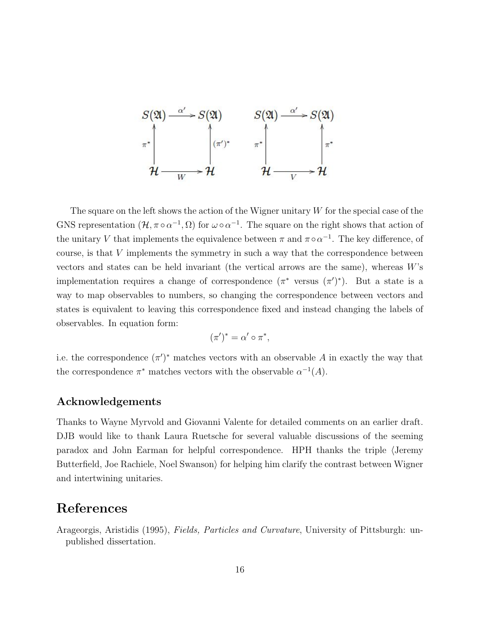

The square on the left shows the action of the Wigner unitary  $W$  for the special case of the GNS representation  $(\mathcal{H}, \pi \circ \alpha^{-1}, \Omega)$  for  $\omega \circ \alpha^{-1}$ . The square on the right shows that action of the unitary V that implements the equivalence between  $\pi$  and  $\pi \circ \alpha^{-1}$ . The key difference, of course, is that V implements the symmetry in such a way that the correspondence between vectors and states can be held invariant (the vertical arrows are the same), whereas  $W$ 's implementation requires a change of correspondence  $(\pi^*$  versus  $(\pi')^*$ ). But a state is a way to map observables to numbers, so changing the correspondence between vectors and states is equivalent to leaving this correspondence fixed and instead changing the labels of observables. In equation form:

$$
(\pi')^* = \alpha' \circ \pi^*,
$$

i.e. the correspondence  $(\pi')^*$  matches vectors with an observable A in exactly the way that the correspondence  $\pi^*$  matches vectors with the observable  $\alpha^{-1}(A)$ .

#### Acknowledgements

Thanks to Wayne Myrvold and Giovanni Valente for detailed comments on an earlier draft. DJB would like to thank Laura Ruetsche for several valuable discussions of the seeming paradox and John Earman for helpful correspondence. HPH thanks the triple (Jeremy Butterfield, Joe Rachiele, Noel Swanson $\rangle$  for helping him clarify the contrast between Wigner and intertwining unitaries.

#### References

Arageorgis, Aristidis (1995), Fields, Particles and Curvature, University of Pittsburgh: unpublished dissertation.